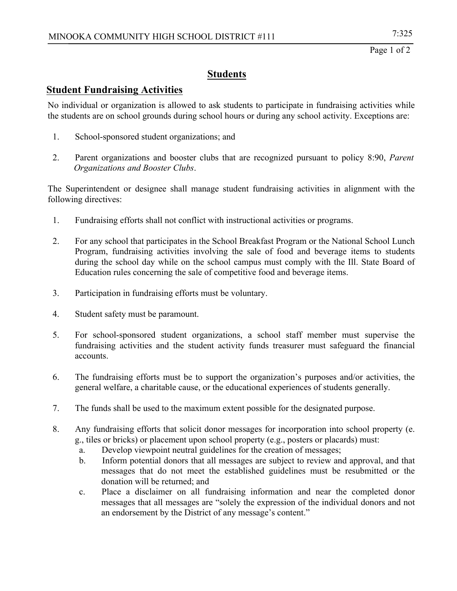## Page 1 of 2

## **Students**

## **Student Fundraising Activities**

No individual or organization is allowed to ask students to participate in fundraising activities while the students are on school grounds during school hours or during any school activity. Exceptions are:

- 1. School-sponsored student organizations; and
- 2. Parent organizations and booster clubs that are recognized pursuant to policy 8:90, *Parent Organizations and Booster Clubs*.

The Superintendent or designee shall manage student fundraising activities in alignment with the following directives:

- 1. Fundraising efforts shall not conflict with instructional activities or programs.
- 2. For any school that participates in the School Breakfast Program or the National School Lunch Program, fundraising activities involving the sale of food and beverage items to students during the school day while on the school campus must comply with the Ill. State Board of Education rules concerning the sale of competitive food and beverage items.
- 3. Participation in fundraising efforts must be voluntary.
- 4. Student safety must be paramount.
- 5. For school-sponsored student organizations, a school staff member must supervise the fundraising activities and the student activity funds treasurer must safeguard the financial accounts.
- 6. The fundraising efforts must be to support the organization's purposes and/or activities, the general welfare, a charitable cause, or the educational experiences of students generally.
- 7. The funds shall be used to the maximum extent possible for the designated purpose.
- 8. Any fundraising efforts that solicit donor messages for incorporation into school property (e. g., tiles or bricks) or placement upon school property (e.g., posters or placards) must:
	- a. Develop viewpoint neutral guidelines for the creation of messages;
	- b. Inform potential donors that all messages are subject to review and approval, and that messages that do not meet the established guidelines must be resubmitted or the donation will be returned; and
	- c. Place a disclaimer on all fundraising information and near the completed donor messages that all messages are "solely the expression of the individual donors and not an endorsement by the District of any message's content."